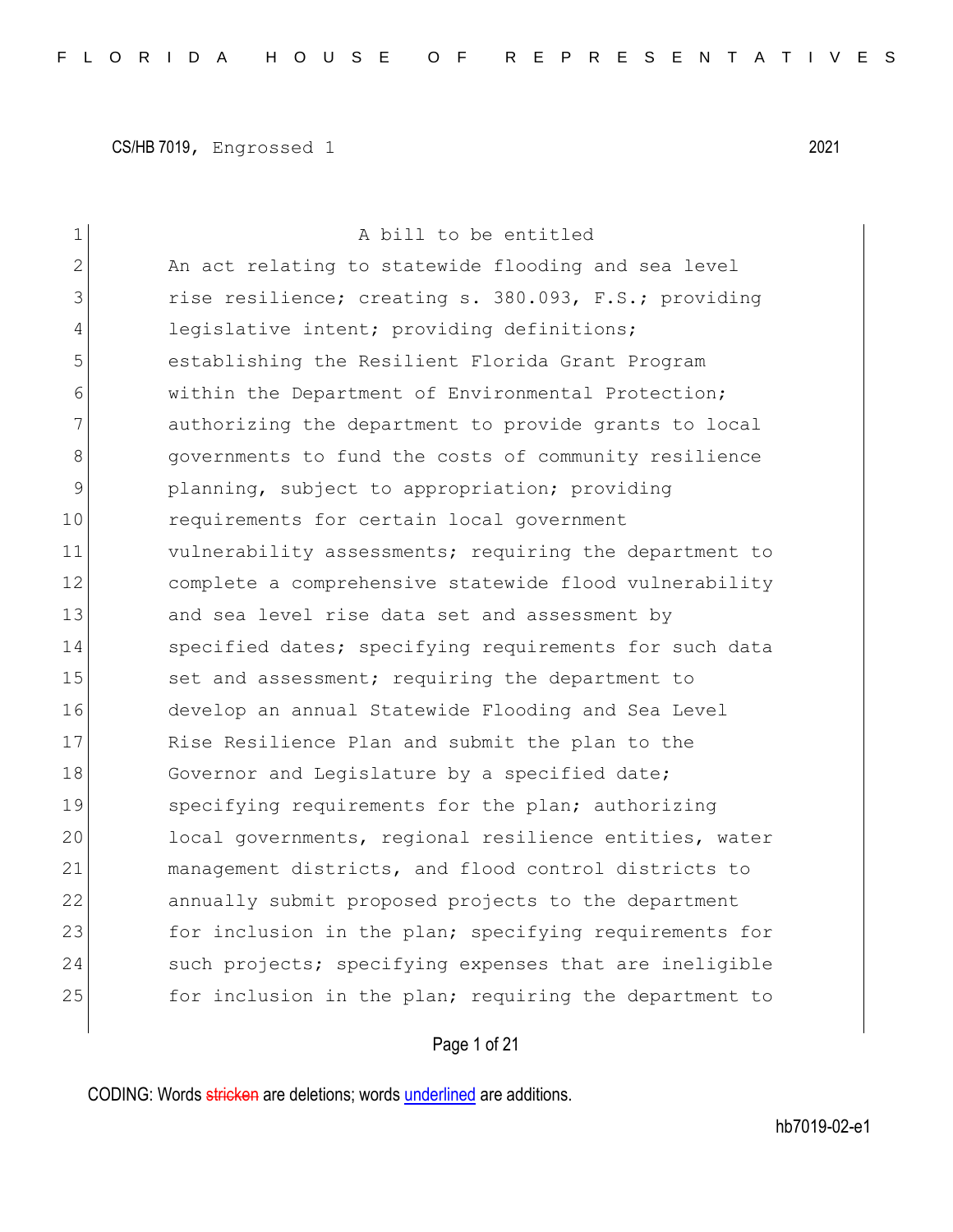| $\mathbf 1$  | A bill to be entitled                                  |
|--------------|--------------------------------------------------------|
| $\mathbf{2}$ | An act relating to statewide flooding and sea level    |
| 3            | rise resilience; creating s. 380.093, F.S.; providing  |
| 4            | legislative intent; providing definitions;             |
| 5            | establishing the Resilient Florida Grant Program       |
| 6            | within the Department of Environmental Protection;     |
| 7            | authorizing the department to provide grants to local  |
| 8            | governments to fund the costs of community resilience  |
| 9            | planning, subject to appropriation; providing          |
| 10           | requirements for certain local government              |
| 11           | vulnerability assessments; requiring the department to |
| 12           | complete a comprehensive statewide flood vulnerability |
| 13           | and sea level rise data set and assessment by          |
| 14           | specified dates; specifying requirements for such data |
| 15           | set and assessment; requiring the department to        |
| 16           | develop an annual Statewide Flooding and Sea Level     |
| 17           | Rise Resilience Plan and submit the plan to the        |
| 18           | Governor and Legislature by a specified date;          |
| 19           | specifying requirements for the plan; authorizing      |
| 20           | local governments, regional resilience entities, water |
| 21           | management districts, and flood control districts to   |
| 22           | annually submit proposed projects to the department    |
| 23           | for inclusion in the plan; specifying requirements for |
| 24           | such projects; specifying expenses that are ineligible |
| 25           | for inclusion in the plan; requiring the department to |
|              |                                                        |

## Page 1 of 21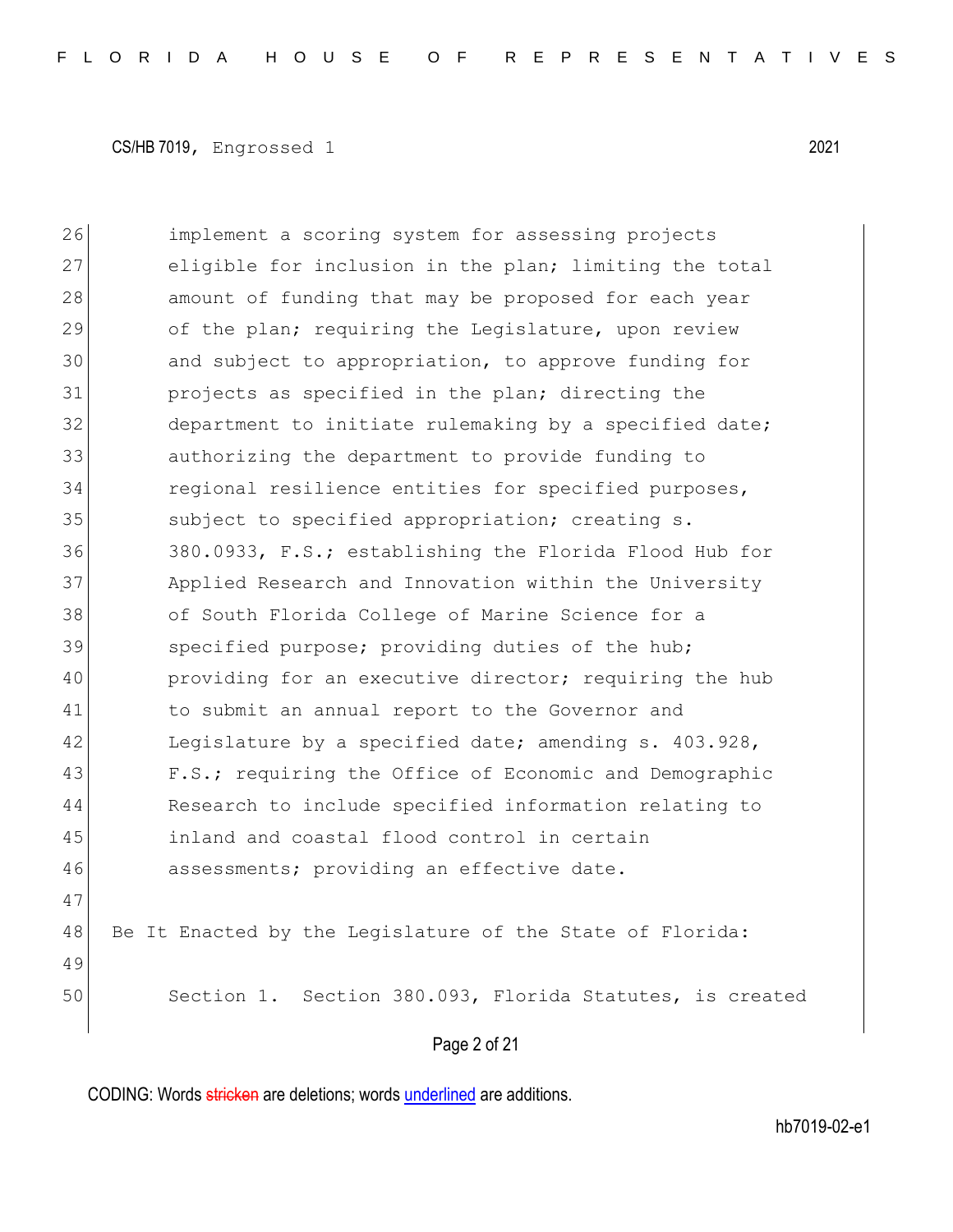26 implement a scoring system for assessing projects 27 eligible for inclusion in the plan; limiting the total 28 amount of funding that may be proposed for each year 29 of the plan; requiring the Legislature, upon review 30 and subject to appropriation, to approve funding for 31 projects as specified in the plan; directing the 32 department to initiate rulemaking by a specified date; 33 authorizing the department to provide funding to 34 regional resilience entities for specified purposes, 35 subject to specified appropriation; creating s. 36 380.0933, F.S.; establishing the Florida Flood Hub for 37 Applied Research and Innovation within the University 38 of South Florida College of Marine Science for a 39 specified purpose; providing duties of the hub; 40 providing for an executive director; requiring the hub 41 to submit an annual report to the Governor and 42 Legislature by a specified date; amending s. 403.928, 43 F.S.; requiring the Office of Economic and Demographic 44 Research to include specified information relating to 45 inland and coastal flood control in certain 46 assessments; providing an effective date. 47 48 Be It Enacted by the Legislature of the State of Florida: 49 50 Section 1. Section 380.093, Florida Statutes, is created

Page 2 of 21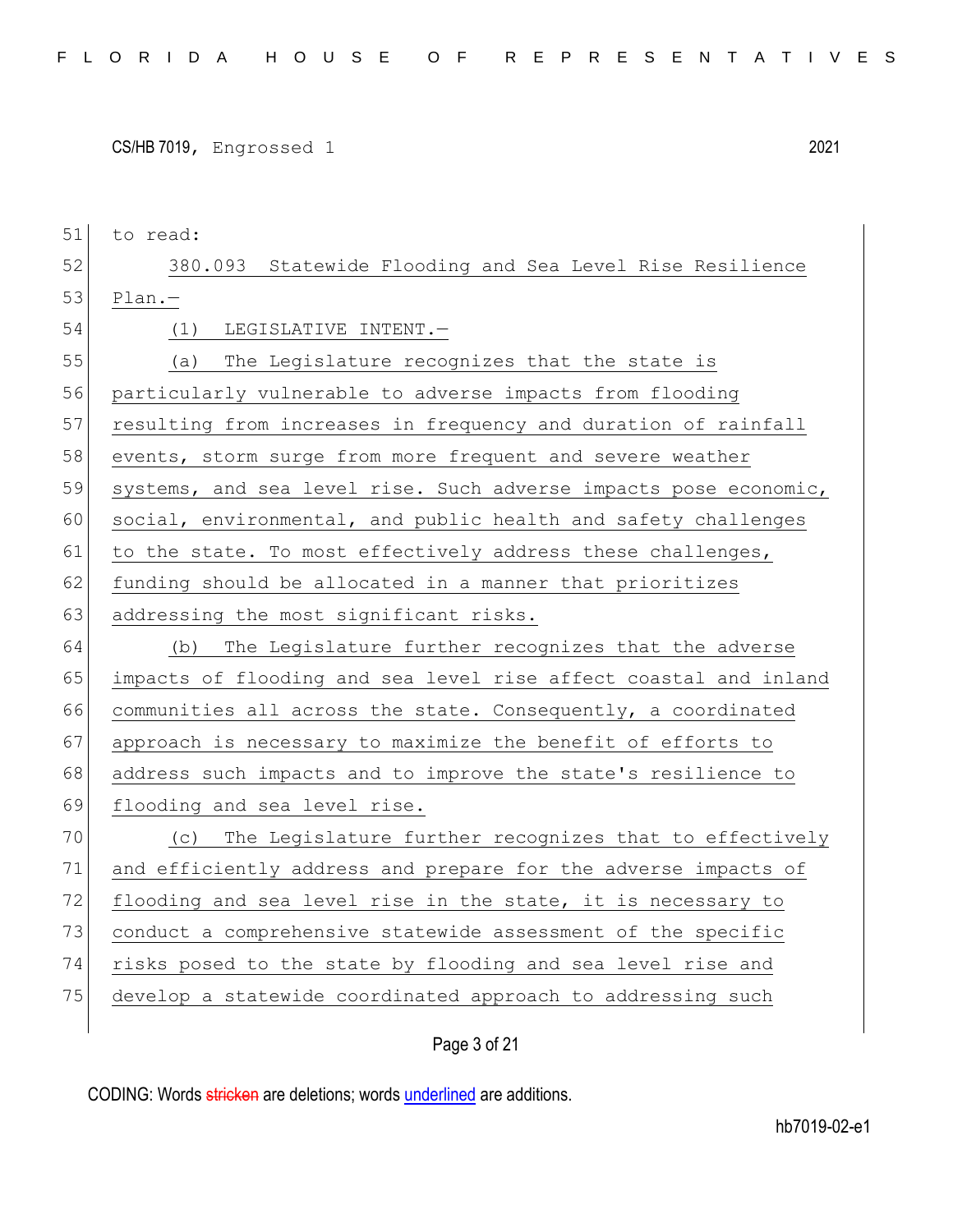| 51 | to read:                                                         |
|----|------------------------------------------------------------------|
| 52 | 380.093 Statewide Flooding and Sea Level Rise Resilience         |
| 53 | $Plan. -$                                                        |
| 54 | LEGISLATIVE INTENT.-<br>(1)                                      |
| 55 | The Legislature recognizes that the state is<br>(a)              |
| 56 | particularly vulnerable to adverse impacts from flooding         |
| 57 | resulting from increases in frequency and duration of rainfall   |
| 58 | events, storm surge from more frequent and severe weather        |
| 59 | systems, and sea level rise. Such adverse impacts pose economic, |
| 60 | social, environmental, and public health and safety challenges   |
| 61 | to the state. To most effectively address these challenges,      |
| 62 | funding should be allocated in a manner that prioritizes         |
| 63 | addressing the most significant risks.                           |
| 64 | (b) The Legislature further recognizes that the adverse          |
|    |                                                                  |
| 65 | impacts of flooding and sea level rise affect coastal and inland |
| 66 | communities all across the state. Consequently, a coordinated    |
| 67 | approach is necessary to maximize the benefit of efforts to      |
| 68 | address such impacts and to improve the state's resilience to    |
| 69 | flooding and sea level rise.                                     |
| 70 | (c) The Legislature further recognizes that to effectively       |
| 71 | and efficiently address and prepare for the adverse impacts of   |
| 72 | flooding and sea level rise in the state, it is necessary to     |
| 73 | conduct a comprehensive statewide assessment of the specific     |
| 74 | risks posed to the state by flooding and sea level rise and      |
| 75 | develop a statewide coordinated approach to addressing such      |

Page 3 of 21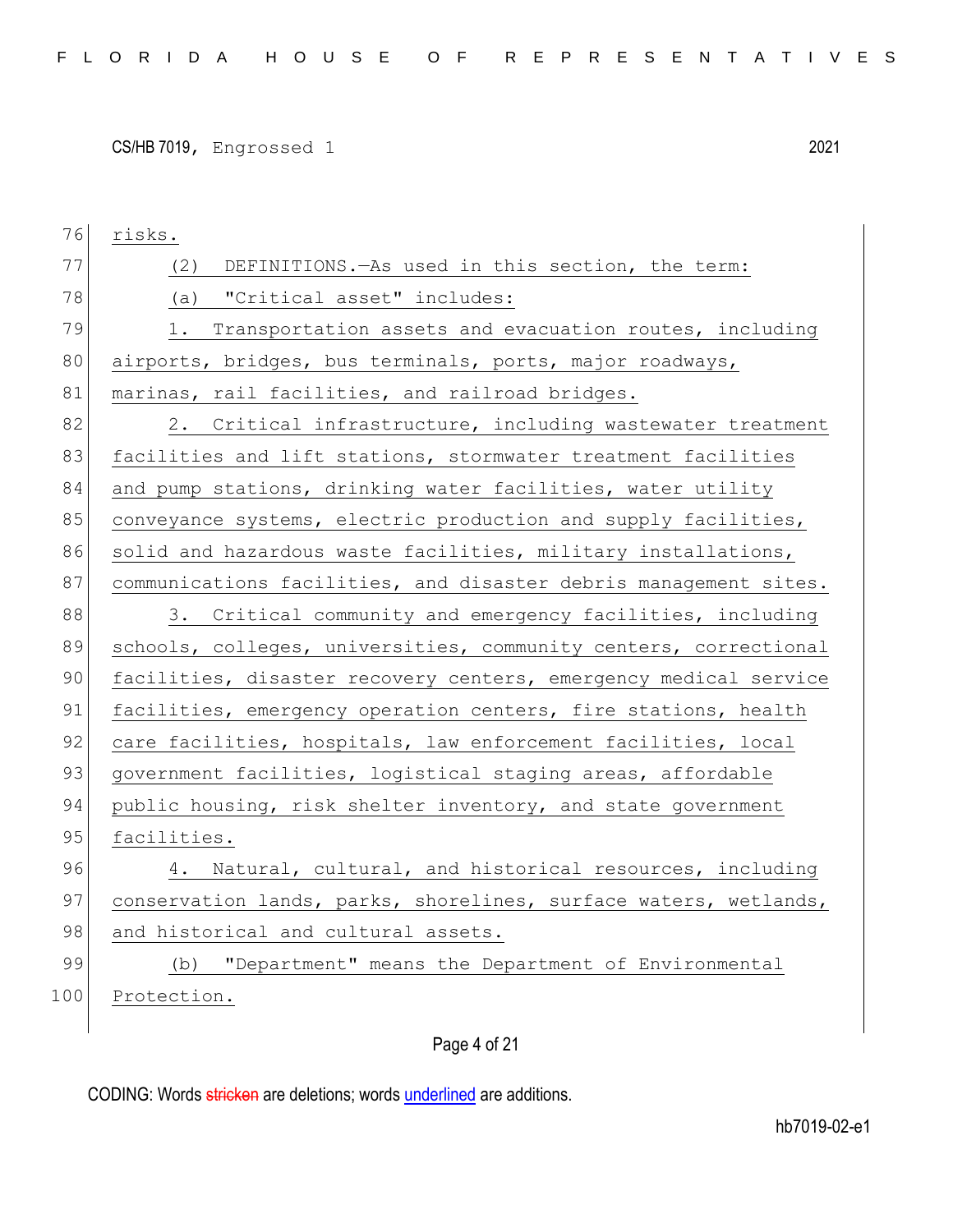| 76  | risks.                                                           |
|-----|------------------------------------------------------------------|
| 77  | DEFINITIONS. - As used in this section, the term:<br>(2)         |
| 78  | (a) "Critical asset" includes:                                   |
| 79  | Transportation assets and evacuation routes, including<br>1.     |
| 80  | airports, bridges, bus terminals, ports, major roadways,         |
| 81  | marinas, rail facilities, and railroad bridges.                  |
| 82  | Critical infrastructure, including wastewater treatment<br>2.    |
| 83  | facilities and lift stations, stormwater treatment facilities    |
| 84  | and pump stations, drinking water facilities, water utility      |
| 85  | conveyance systems, electric production and supply facilities,   |
| 86  | solid and hazardous waste facilities, military installations,    |
| 87  | communications facilities, and disaster debris management sites. |
| 88  | 3. Critical community and emergency facilities, including        |
| 89  | schools, colleges, universities, community centers, correctional |
| 90  | facilities, disaster recovery centers, emergency medical service |
| 91  | facilities, emergency operation centers, fire stations, health   |
| 92  | care facilities, hospitals, law enforcement facilities, local    |
| 93  | government facilities, logistical staging areas, affordable      |
| 94  | public housing, risk shelter inventory, and state government     |
| 95  | facilities.                                                      |
| 96  | 4. Natural, cultural, and historical resources, including        |
| 97  | conservation lands, parks, shorelines, surface waters, wetlands, |
| 98  | and historical and cultural assets.                              |
| 99  | (b) "Department" means the Department of Environmental           |
| 100 | Protection.                                                      |
|     |                                                                  |

Page 4 of 21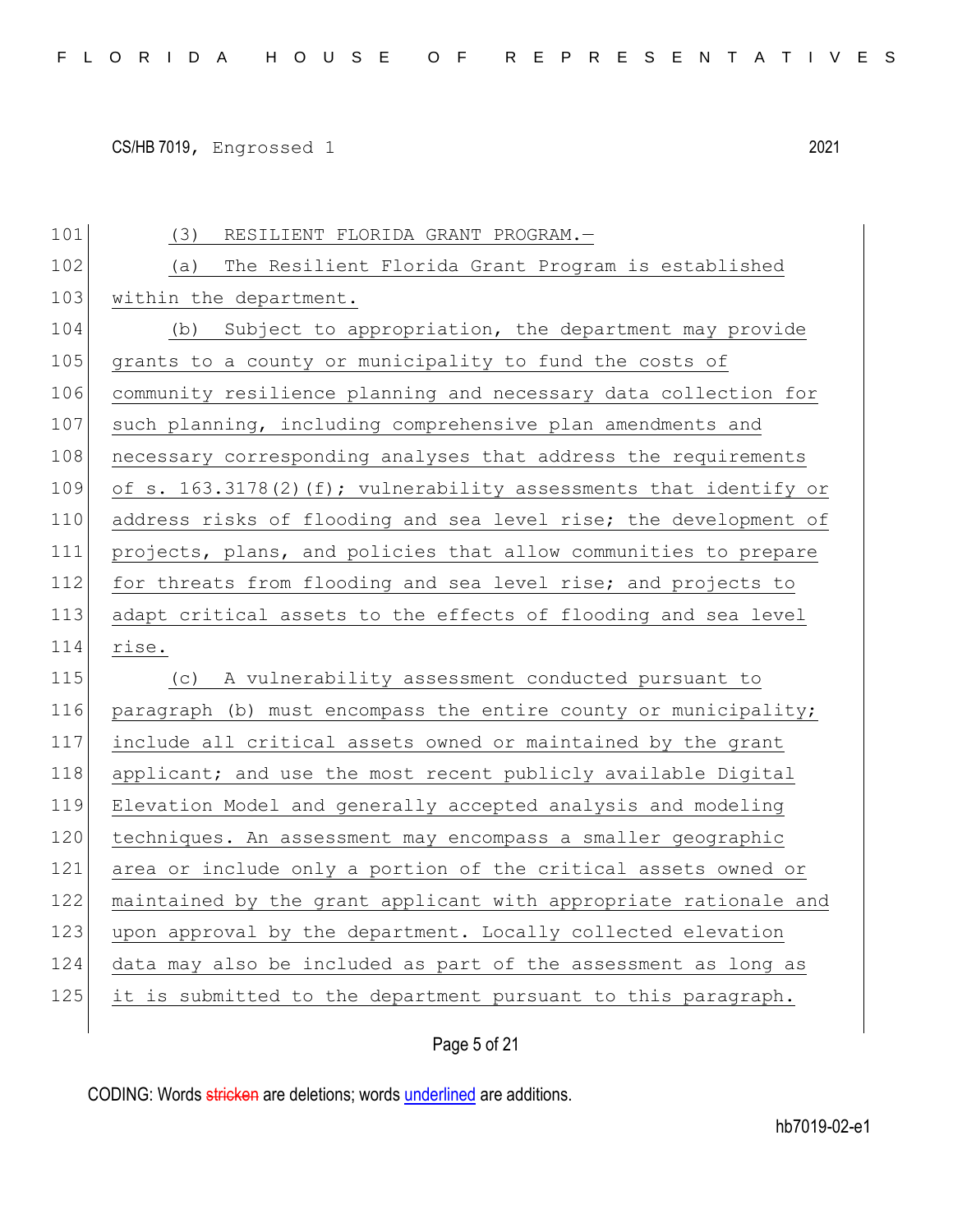| 101 | (3)<br>RESILIENT FLORIDA GRANT PROGRAM.-                            |
|-----|---------------------------------------------------------------------|
| 102 | The Resilient Florida Grant Program is established<br>(a)           |
| 103 | within the department.                                              |
| 104 | Subject to appropriation, the department may provide<br>(b)         |
| 105 | grants to a county or municipality to fund the costs of             |
| 106 | community resilience planning and necessary data collection for     |
| 107 | such planning, including comprehensive plan amendments and          |
| 108 | necessary corresponding analyses that address the requirements      |
| 109 | of s. $163.3178(2)(f)$ ; vulnerability assessments that identify or |
| 110 | address risks of flooding and sea level rise; the development of    |
| 111 | projects, plans, and policies that allow communities to prepare     |
| 112 | for threats from flooding and sea level rise; and projects to       |
| 113 | adapt critical assets to the effects of flooding and sea level      |
|     |                                                                     |
| 114 | rise.                                                               |
| 115 | A vulnerability assessment conducted pursuant to<br>(C)             |
| 116 | paragraph (b) must encompass the entire county or municipality;     |
| 117 | include all critical assets owned or maintained by the grant        |
| 118 | applicant; and use the most recent publicly available Digital       |
| 119 | Elevation Model and generally accepted analysis and modeling        |
| 120 | techniques. An assessment may encompass a smaller geographic        |
| 121 | area or include only a portion of the critical assets owned or      |
| 122 | maintained by the grant applicant with appropriate rationale and    |
| 123 | upon approval by the department. Locally collected elevation        |
| 124 | data may also be included as part of the assessment as long as      |
| 125 | it is submitted to the department pursuant to this paragraph.       |

Page 5 of 21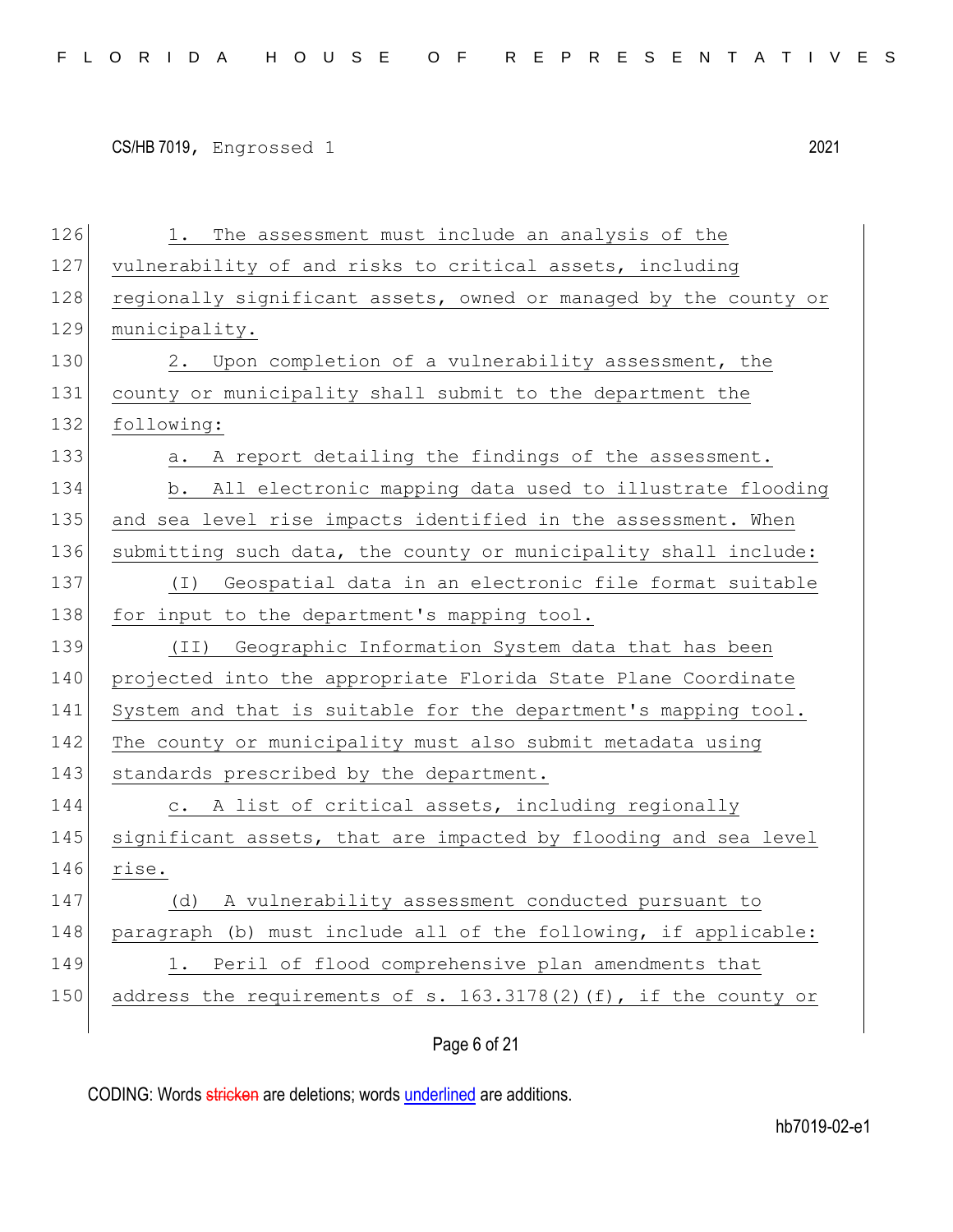126 1. The assessment must include an analysis of the 127 vulnerability of and risks to critical assets, including 128 regionally significant assets, owned or managed by the county or 129 municipality. 130 2. Upon completion of a vulnerability assessment, the 131 county or municipality shall submit to the department the 132 following: 133 a. A report detailing the findings of the assessment. 134 b. All electronic mapping data used to illustrate flooding 135 and sea level rise impacts identified in the assessment. When 136 submitting such data, the county or municipality shall include: 137 (I) Geospatial data in an electronic file format suitable 138 for input to the department's mapping tool. 139 (II) Geographic Information System data that has been 140 projected into the appropriate Florida State Plane Coordinate 141 System and that is suitable for the department's mapping tool. 142 The county or municipality must also submit metadata using 143 standards prescribed by the department. 144 c. A list of critical assets, including regionally 145 significant assets, that are impacted by flooding and sea level 146 rise. 147 (d) A vulnerability assessment conducted pursuant to 148 paragraph (b) must include all of the following, if applicable: 149 1. Peril of flood comprehensive plan amendments that 150 address the requirements of s. 163.3178(2)(f), if the county or

Page 6 of 21

CODING: Words stricken are deletions; words underlined are additions.

hb7019-02-e1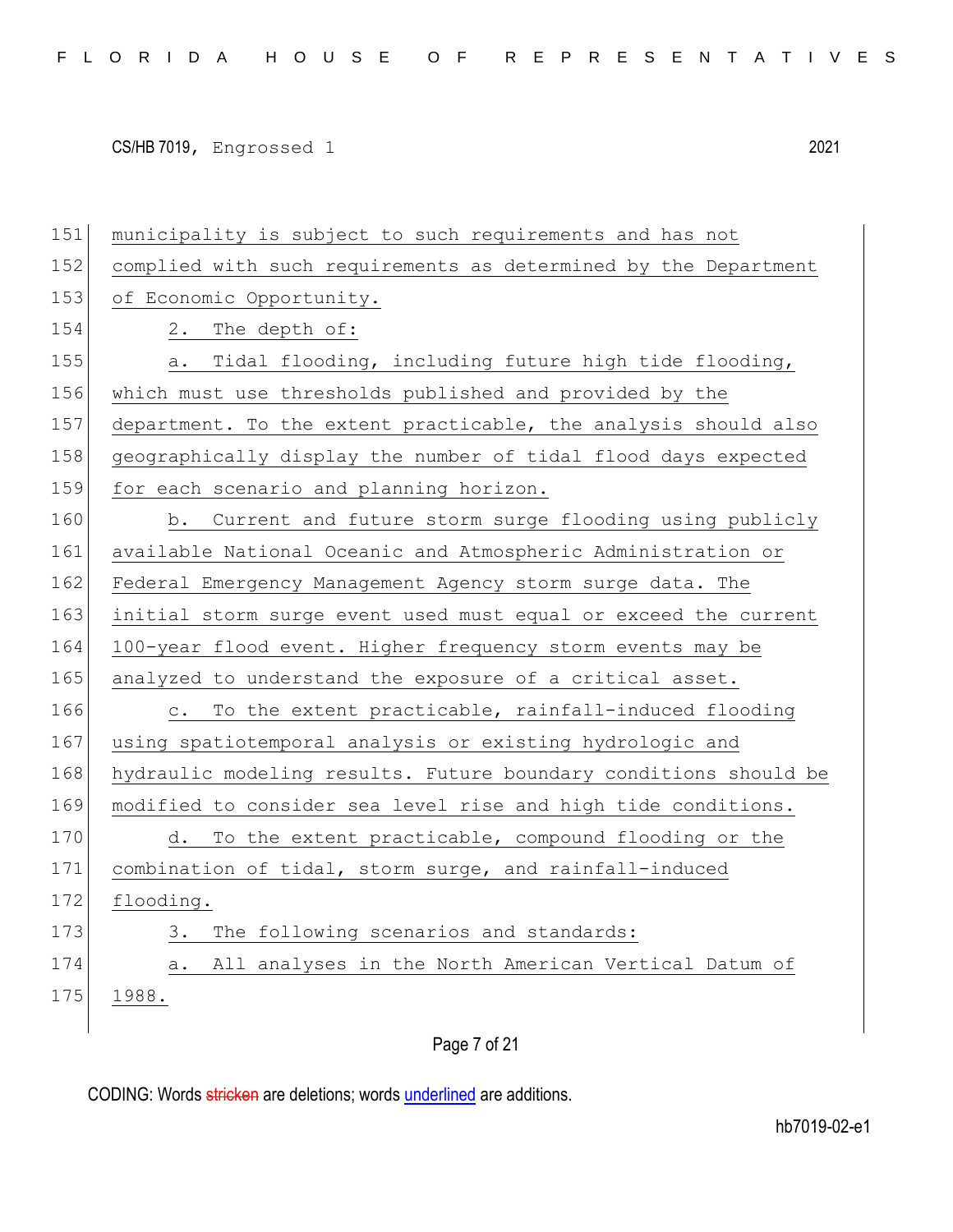151 municipality is subject to such requirements and has not 152 complied with such requirements as determined by the Department 153 of Economic Opportunity. 154 2. The depth of: 155 a. Tidal flooding, including future high tide flooding, 156 which must use thresholds published and provided by the 157 department. To the extent practicable, the analysis should also 158 geographically display the number of tidal flood days expected 159 for each scenario and planning horizon. 160 b. Current and future storm surge flooding using publicly 161 available National Oceanic and Atmospheric Administration or 162 Federal Emergency Management Agency storm surge data. The 163 initial storm surge event used must equal or exceed the current 164 100-year flood event. Higher frequency storm events may be 165 analyzed to understand the exposure of a critical asset. 166 c. To the extent practicable, rainfall-induced flooding 167 using spatiotemporal analysis or existing hydrologic and 168 hydraulic modeling results. Future boundary conditions should be 169 modified to consider sea level rise and high tide conditions. 170 d. To the extent practicable, compound flooding or the 171 combination of tidal, storm surge, and rainfall-induced 172 flooding. 173 3. The following scenarios and standards: 174 a. All analyses in the North American Vertical Datum of 175 1988.

Page 7 of 21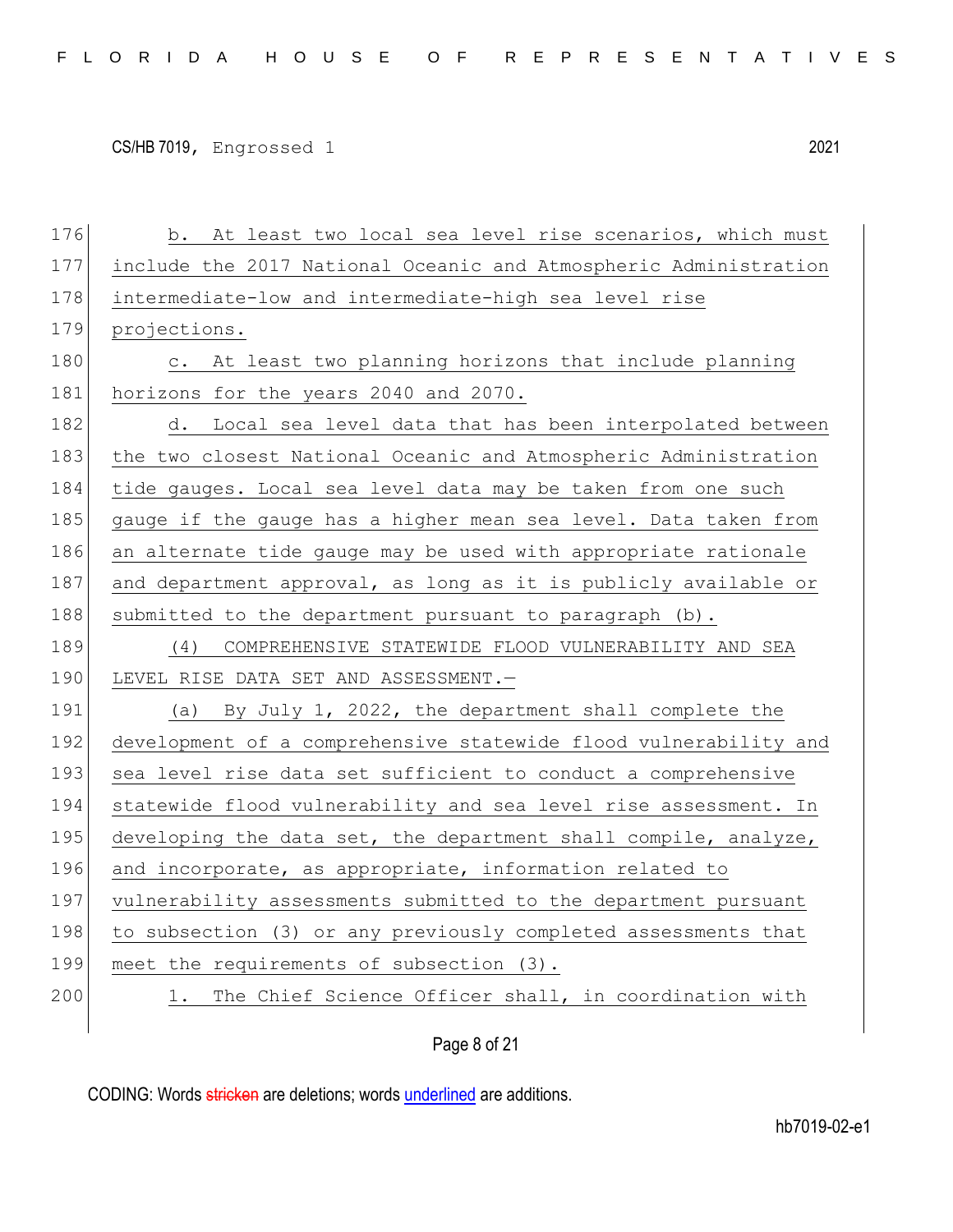| 176 | b. At least two local sea level rise scenarios, which must        |
|-----|-------------------------------------------------------------------|
| 177 | include the 2017 National Oceanic and Atmospheric Administration  |
| 178 | intermediate-low and intermediate-high sea level rise             |
| 179 | projections.                                                      |
| 180 | At least two planning horizons that include planning<br>$\circ$ . |
| 181 | horizons for the years 2040 and 2070.                             |
| 182 | d. Local sea level data that has been interpolated between        |
| 183 | the two closest National Oceanic and Atmospheric Administration   |
| 184 | tide gauges. Local sea level data may be taken from one such      |
| 185 | gauge if the gauge has a higher mean sea level. Data taken from   |
| 186 | an alternate tide gauge may be used with appropriate rationale    |
| 187 | and department approval, as long as it is publicly available or   |
| 188 | submitted to the department pursuant to paragraph (b).            |
| 189 | COMPREHENSIVE STATEWIDE FLOOD VULNERABILITY AND SEA<br>(4)        |
| 190 | LEVEL RISE DATA SET AND ASSESSMENT.-                              |
| 191 | (a) By July 1, 2022, the department shall complete the            |
| 192 | development of a comprehensive statewide flood vulnerability and  |
| 193 | sea level rise data set sufficient to conduct a comprehensive     |
| 194 | statewide flood vulnerability and sea level rise assessment. In   |
| 195 | developing the data set, the department shall compile, analyze,   |
| 196 | and incorporate, as appropriate, information related to           |
| 197 | vulnerability assessments submitted to the department pursuant    |
| 198 | to subsection (3) or any previously completed assessments that    |
| 199 | meet the requirements of subsection (3).                          |
| 200 | The Chief Science Officer shall, in coordination with<br>1.       |
|     |                                                                   |

Page 8 of 21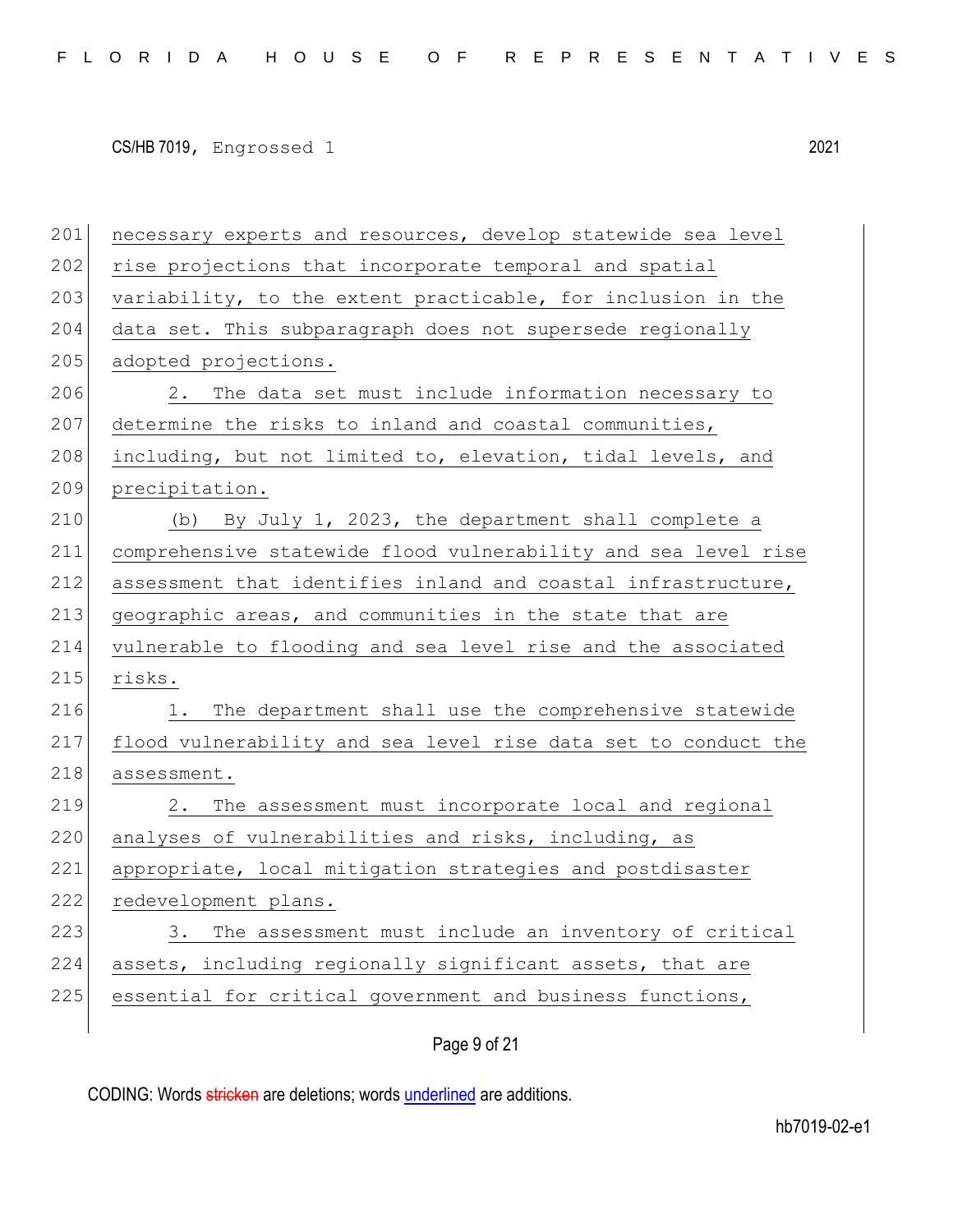| 201 | necessary experts and resources, develop statewide sea level   |
|-----|----------------------------------------------------------------|
| 202 | rise projections that incorporate temporal and spatial         |
| 203 | variability, to the extent practicable, for inclusion in the   |
| 204 | data set. This subparagraph does not supersede regionally      |
| 205 | adopted projections.                                           |
| 206 | 2. The data set must include information necessary to          |
| 207 | determine the risks to inland and coastal communities,         |
| 208 | including, but not limited to, elevation, tidal levels, and    |
| 209 | precipitation.                                                 |
| 210 | (b) By July 1, 2023, the department shall complete a           |
| 211 | comprehensive statewide flood vulnerability and sea level rise |
| 212 | assessment that identifies inland and coastal infrastructure,  |
| 213 | geographic areas, and communities in the state that are        |
| 214 | vulnerable to flooding and sea level rise and the associated   |
| 215 | risks.                                                         |
| 216 | 1. The department shall use the comprehensive statewide        |
| 217 | flood vulnerability and sea level rise data set to conduct the |
| 218 | assessment.                                                    |
| 219 | 2. The assessment must incorporate local and regional          |
| 220 | analyses of vulnerabilities and risks, including, as           |
| 221 | appropriate, local mitigation strategies and postdisaster      |
| 222 | redevelopment plans.                                           |
| 223 | The assessment must include an inventory of critical<br>3.     |
| 224 | assets, including regionally significant assets, that are      |
| 225 | essential for critical government and business functions,      |
|     |                                                                |

Page 9 of 21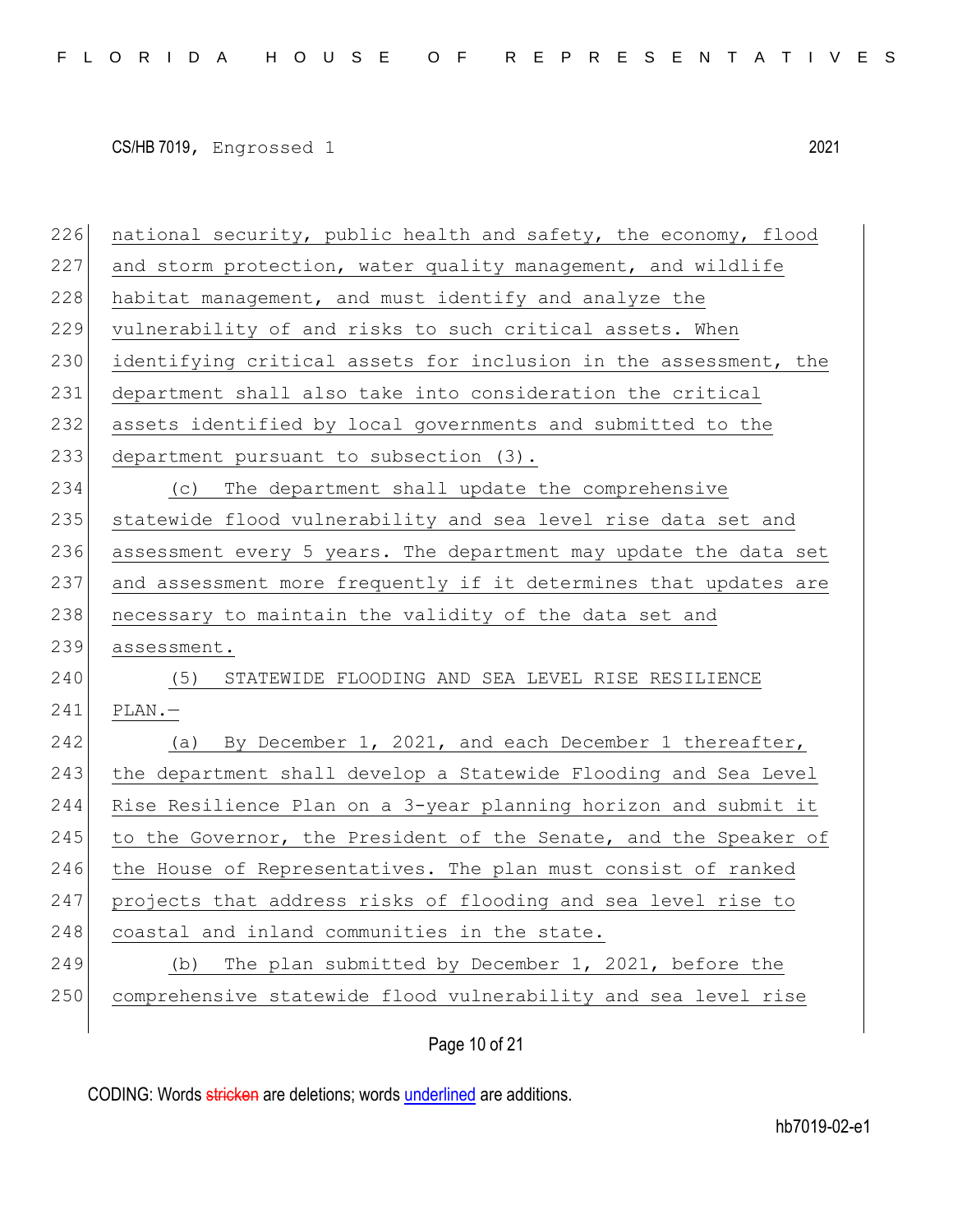226 national security, public health and safety, the economy, flood  $227$  and storm protection, water quality management, and wildlife 228 habitat management, and must identify and analyze the 229 vulnerability of and risks to such critical assets. When 230 identifying critical assets for inclusion in the assessment, the 231 department shall also take into consideration the critical 232 assets identified by local governments and submitted to the 233 department pursuant to subsection (3). 234 (c) The department shall update the comprehensive 235 statewide flood vulnerability and sea level rise data set and 236 assessment every 5 years. The department may update the data set 237 and assessment more frequently if it determines that updates are 238 necessary to maintain the validity of the data set and 239 assessment. 240 (5) STATEWIDE FLOODING AND SEA LEVEL RISE RESILIENCE 241 PLAN.— 242 (a) By December 1, 2021, and each December 1 thereafter, 243 the department shall develop a Statewide Flooding and Sea Level 244 Rise Resilience Plan on a 3-year planning horizon and submit it 245 to the Governor, the President of the Senate, and the Speaker of 246 the House of Representatives. The plan must consist of ranked 247 projects that address risks of flooding and sea level rise to 248 coastal and inland communities in the state. 249 (b) The plan submitted by December 1, 2021, before the 250 comprehensive statewide flood vulnerability and sea level rise

Page 10 of 21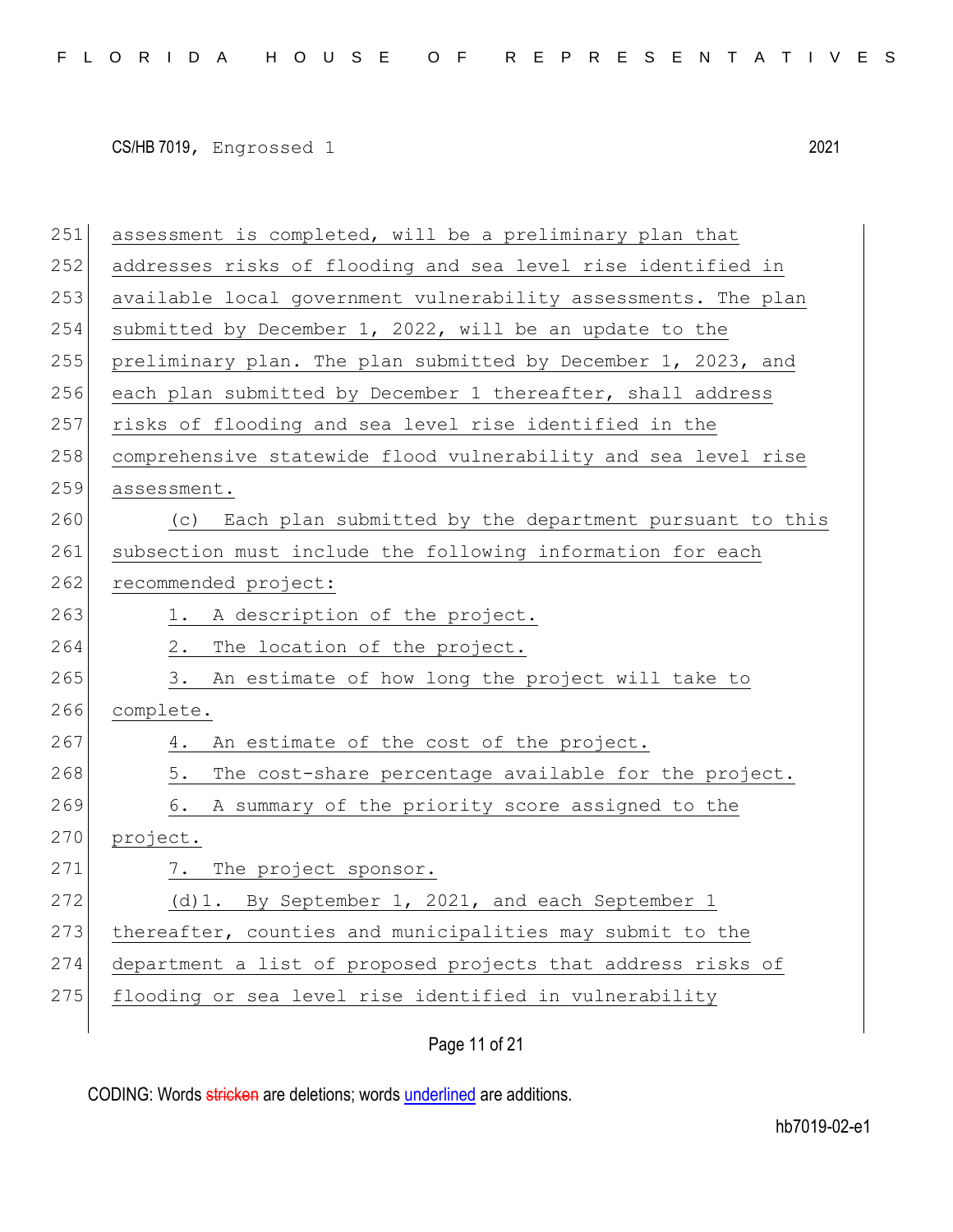| 251 | assessment is completed, will be a preliminary plan that       |
|-----|----------------------------------------------------------------|
| 252 | addresses risks of flooding and sea level rise identified in   |
| 253 | available local government vulnerability assessments. The plan |
| 254 | submitted by December 1, 2022, will be an update to the        |
| 255 | preliminary plan. The plan submitted by December 1, 2023, and  |
| 256 | each plan submitted by December 1 thereafter, shall address    |
| 257 | risks of flooding and sea level rise identified in the         |
| 258 | comprehensive statewide flood vulnerability and sea level rise |
| 259 | assessment.                                                    |
| 260 | (c) Each plan submitted by the department pursuant to this     |
| 261 | subsection must include the following information for each     |
| 262 | recommended project:                                           |
| 263 | 1.<br>A description of the project.                            |
| 264 | The location of the project.<br>$2$ .                          |
| 265 | 3.<br>An estimate of how long the project will take to         |
| 266 | complete.                                                      |
| 267 | An estimate of the cost of the project.<br>4.                  |
| 268 | 5.<br>The cost-share percentage available for the project.     |
| 269 | A summary of the priority score assigned to the<br>6.          |
| 270 | project.                                                       |
| 271 | The project sponsor.<br>$\frac{1}{2}$                          |
| 272 | (d) 1. By September 1, 2021, and each September 1              |
| 273 | thereafter, counties and municipalities may submit to the      |
| 274 | department a list of proposed projects that address risks of   |
| 275 | flooding or sea level rise identified in vulnerability         |
|     |                                                                |

Page 11 of 21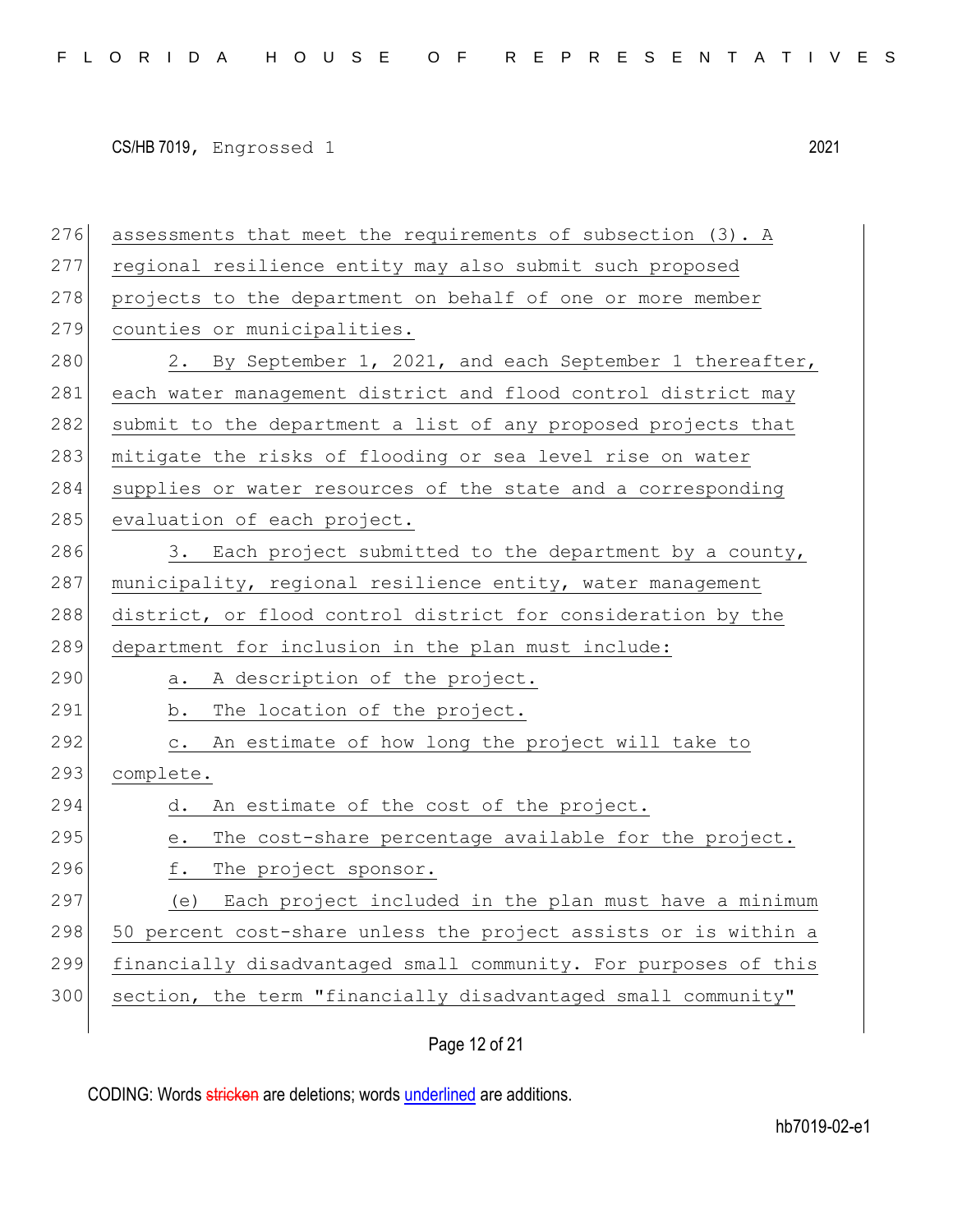| 276 | assessments that meet the requirements of subsection (3). A        |
|-----|--------------------------------------------------------------------|
| 277 | regional resilience entity may also submit such proposed           |
| 278 | projects to the department on behalf of one or more member         |
| 279 | counties or municipalities.                                        |
| 280 | By September 1, 2021, and each September 1 thereafter,<br>2.       |
| 281 | each water management district and flood control district may      |
| 282 | submit to the department a list of any proposed projects that      |
| 283 | mitigate the risks of flooding or sea level rise on water          |
| 284 | supplies or water resources of the state and a corresponding       |
| 285 | evaluation of each project.                                        |
| 286 | Each project submitted to the department by a county,<br>3.        |
| 287 | municipality, regional resilience entity, water management         |
| 288 | district, or flood control district for consideration by the       |
| 289 | department for inclusion in the plan must include:                 |
| 290 | A description of the project.<br>a.                                |
| 291 | The location of the project.<br>b.                                 |
| 292 | An estimate of how long the project will take to<br>$\mathsf{C}$ . |
| 293 | complete.                                                          |
| 294 | An estimate of the cost of the project.<br>d.                      |
| 295 | The cost-share percentage available for the project.<br>е.         |
| 296 | f.<br>The project sponsor.                                         |
| 297 | Each project included in the plan must have a minimum<br>(e)       |
| 298 | 50 percent cost-share unless the project assists or is within a    |
| 299 | financially disadvantaged small community. For purposes of this    |
|     |                                                                    |
| 300 | section, the term "financially disadvantaged small community"      |

Page 12 of 21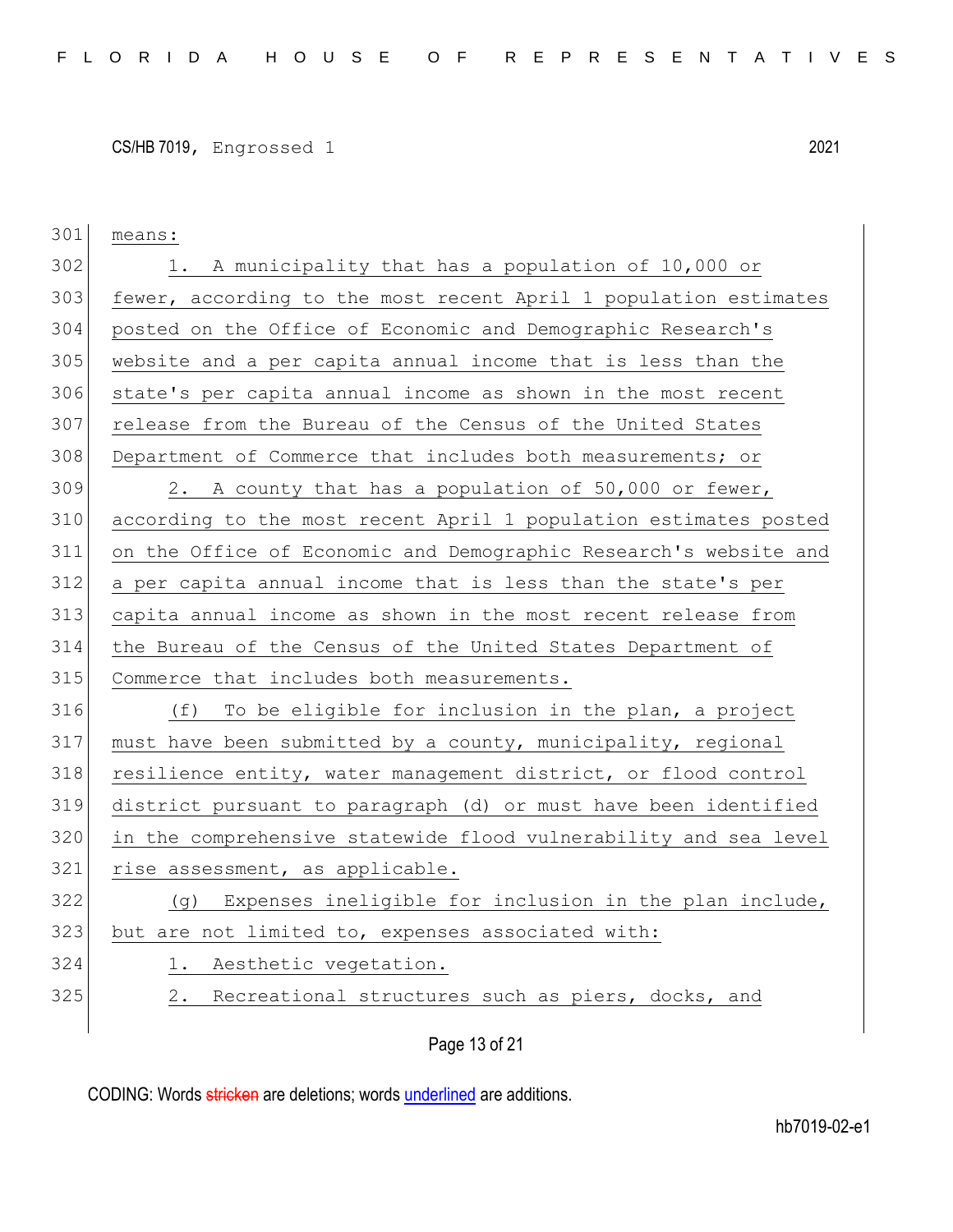301 means: 302 1. A municipality that has a population of 10,000 or 303 fewer, according to the most recent April 1 population estimates 304 posted on the Office of Economic and Demographic Research's 305 website and a per capita annual income that is less than the 306 state's per capita annual income as shown in the most recent 307 release from the Bureau of the Census of the United States 308 Department of Commerce that includes both measurements; or  $309$  2. A county that has a population of 50,000 or fewer, 310 according to the most recent April 1 population estimates posted 311 on the Office of Economic and Demographic Research's website and 312 a per capita annual income that is less than the state's per 313 capita annual income as shown in the most recent release from 314 the Bureau of the Census of the United States Department of 315 Commerce that includes both measurements. 316 (f) To be eligible for inclusion in the plan, a project 317 must have been submitted by a county, municipality, regional 318 resilience entity, water management district, or flood control 319 district pursuant to paragraph (d) or must have been identified 320 in the comprehensive statewide flood vulnerability and sea level 321 rise assessment, as applicable. 322 (g) Expenses ineligible for inclusion in the plan include, 323 but are not limited to, expenses associated with: 324 1. Aesthetic vegetation. 325 2. Recreational structures such as piers, docks, and

Page 13 of 21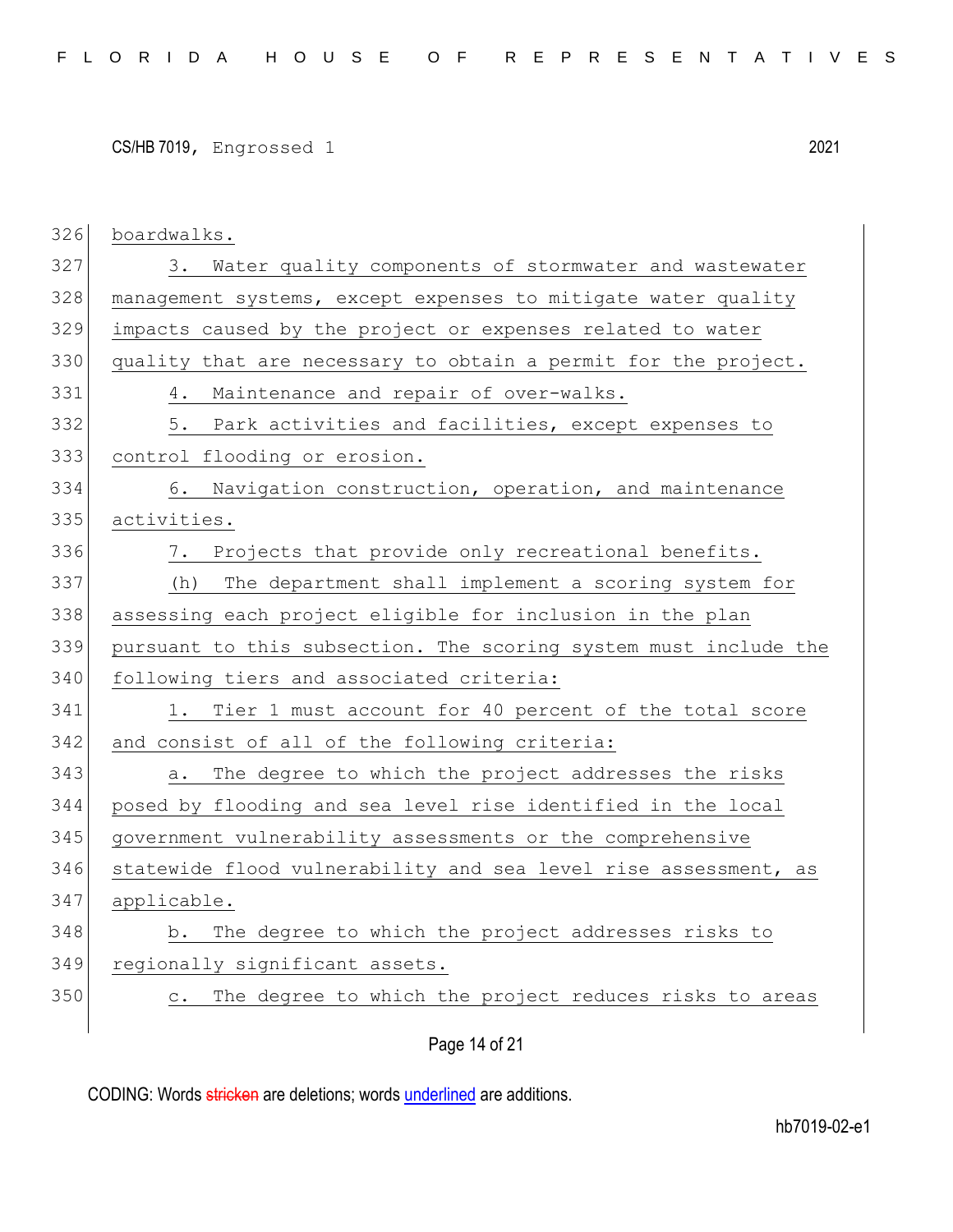| 326 | boardwalks.                                                              |
|-----|--------------------------------------------------------------------------|
| 327 | 3.<br>Water quality components of stormwater and wastewater              |
| 328 | management systems, except expenses to mitigate water quality            |
| 329 | impacts caused by the project or expenses related to water               |
| 330 | quality that are necessary to obtain a permit for the project.           |
| 331 | Maintenance and repair of over-walks.<br>4.                              |
| 332 | 5. Park activities and facilities, except expenses to                    |
| 333 | control flooding or erosion.                                             |
| 334 | 6. Navigation construction, operation, and maintenance                   |
| 335 | activities.                                                              |
| 336 | 7. Projects that provide only recreational benefits.                     |
| 337 | The department shall implement a scoring system for<br>(h)               |
| 338 | assessing each project eligible for inclusion in the plan                |
| 339 | pursuant to this subsection. The scoring system must include the         |
| 340 | following tiers and associated criteria:                                 |
| 341 | Tier 1 must account for 40 percent of the total score<br>1.              |
| 342 | and consist of all of the following criteria:                            |
| 343 | The degree to which the project addresses the risks<br>a.                |
| 344 | posed by flooding and sea level rise identified in the local             |
| 345 | government vulnerability assessments or the comprehensive                |
| 346 | statewide flood vulnerability and sea level rise assessment, as          |
| 347 | applicable.                                                              |
| 348 | The degree to which the project addresses risks to<br>b.                 |
| 349 | regionally significant assets.                                           |
| 350 | The degree to which the project reduces risks to areas<br>$\mathtt{C}$ . |
|     | Page 14 of 21                                                            |

CODING: Words stricken are deletions; words underlined are additions.

hb7019-02-e1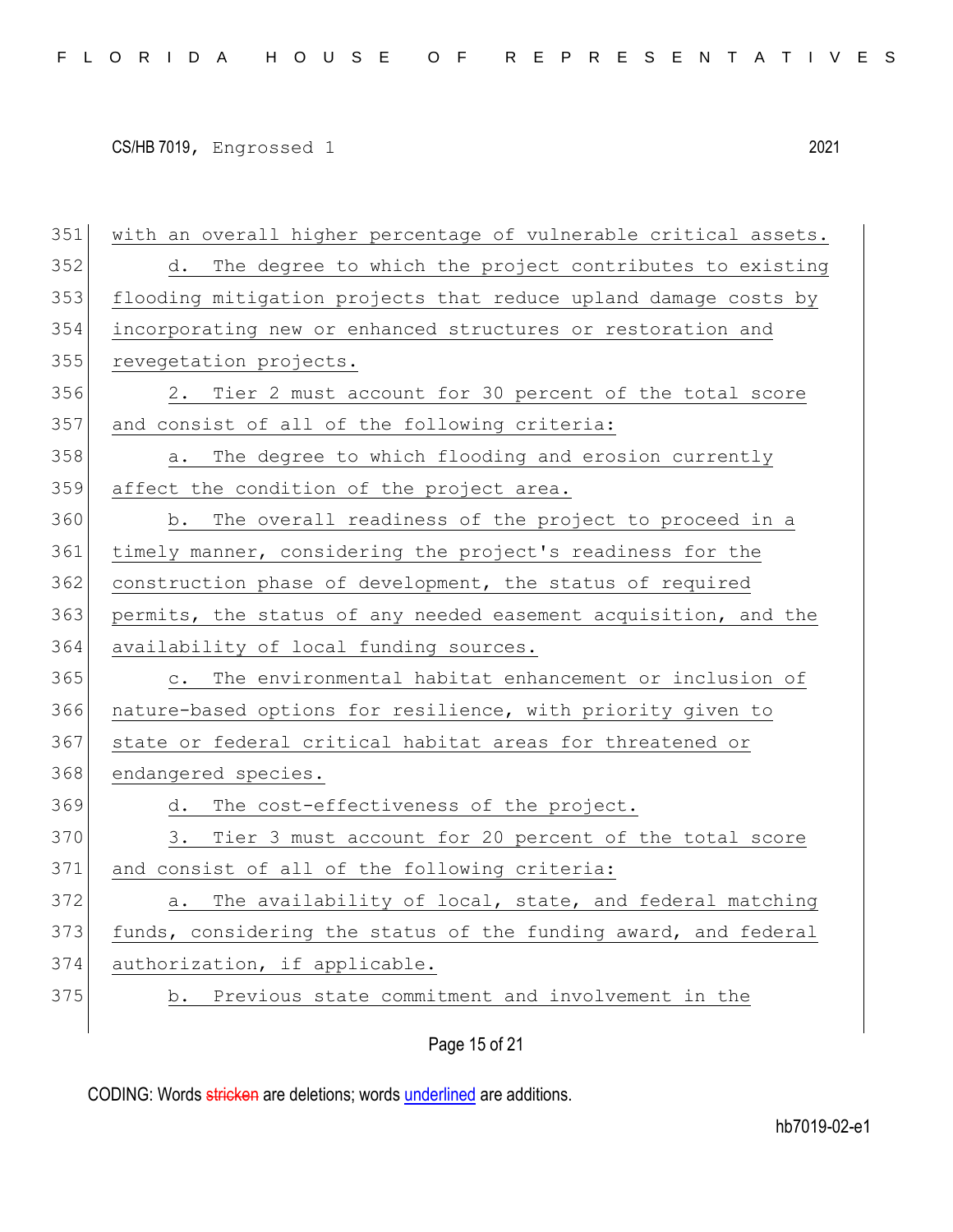351 with an overall higher percentage of vulnerable critical assets. 352 d. The degree to which the project contributes to existing 353 flooding mitigation projects that reduce upland damage costs by 354 incorporating new or enhanced structures or restoration and 355 revegetation projects. 356 2. Tier 2 must account for 30 percent of the total score 357 and consist of all of the following criteria: 358 a. The degree to which flooding and erosion currently 359 affect the condition of the project area. 360 b. The overall readiness of the project to proceed in a 361 timely manner, considering the project's readiness for the 362 construction phase of development, the status of required 363 permits, the status of any needed easement acquisition, and the 364 availability of local funding sources. 365 c. The environmental habitat enhancement or inclusion of 366 nature-based options for resilience, with priority given to 367 state or federal critical habitat areas for threatened or 368 endangered species. 369 d. The cost-effectiveness of the project. 370 3. Tier 3 must account for 20 percent of the total score 371 and consist of all of the following criteria: 372 a. The availability of local, state, and federal matching 373 funds, considering the status of the funding award, and federal 374 authorization, if applicable. 375 b. Previous state commitment and involvement in the

Page 15 of 21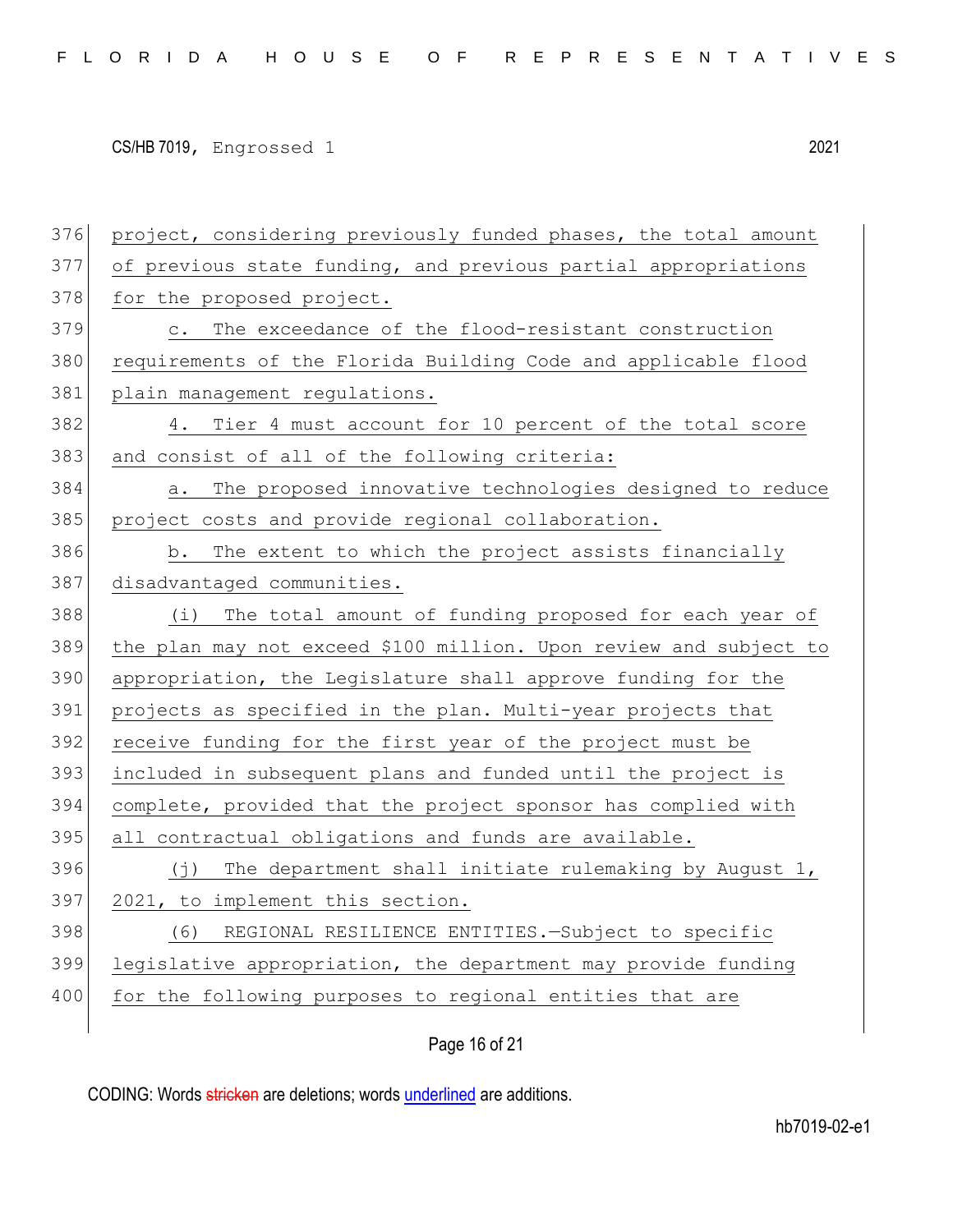376 project, considering previously funded phases, the total amount 377 of previous state funding, and previous partial appropriations 378 for the proposed project. 379 c. The exceedance of the flood-resistant construction 380 requirements of the Florida Building Code and applicable flood 381 plain management regulations. 382 4. Tier 4 must account for 10 percent of the total score 383 and consist of all of the following criteria: 384 a. The proposed innovative technologies designed to reduce 385 project costs and provide regional collaboration. 386 b. The extent to which the project assists financially 387 disadvantaged communities. 388 (i) The total amount of funding proposed for each year of 389 the plan may not exceed \$100 million. Upon review and subject to 390 appropriation, the Legislature shall approve funding for the 391 projects as specified in the plan. Multi-year projects that 392 receive funding for the first year of the project must be 393 included in subsequent plans and funded until the project is 394 complete, provided that the project sponsor has complied with 395 all contractual obligations and funds are available. 396  $(i)$  The department shall initiate rulemaking by August 1, 397 2021, to implement this section. 398 (6) REGIONAL RESILIENCE ENTITIES.—Subject to specific 399 legislative appropriation, the department may provide funding 400 for the following purposes to regional entities that are

Page 16 of 21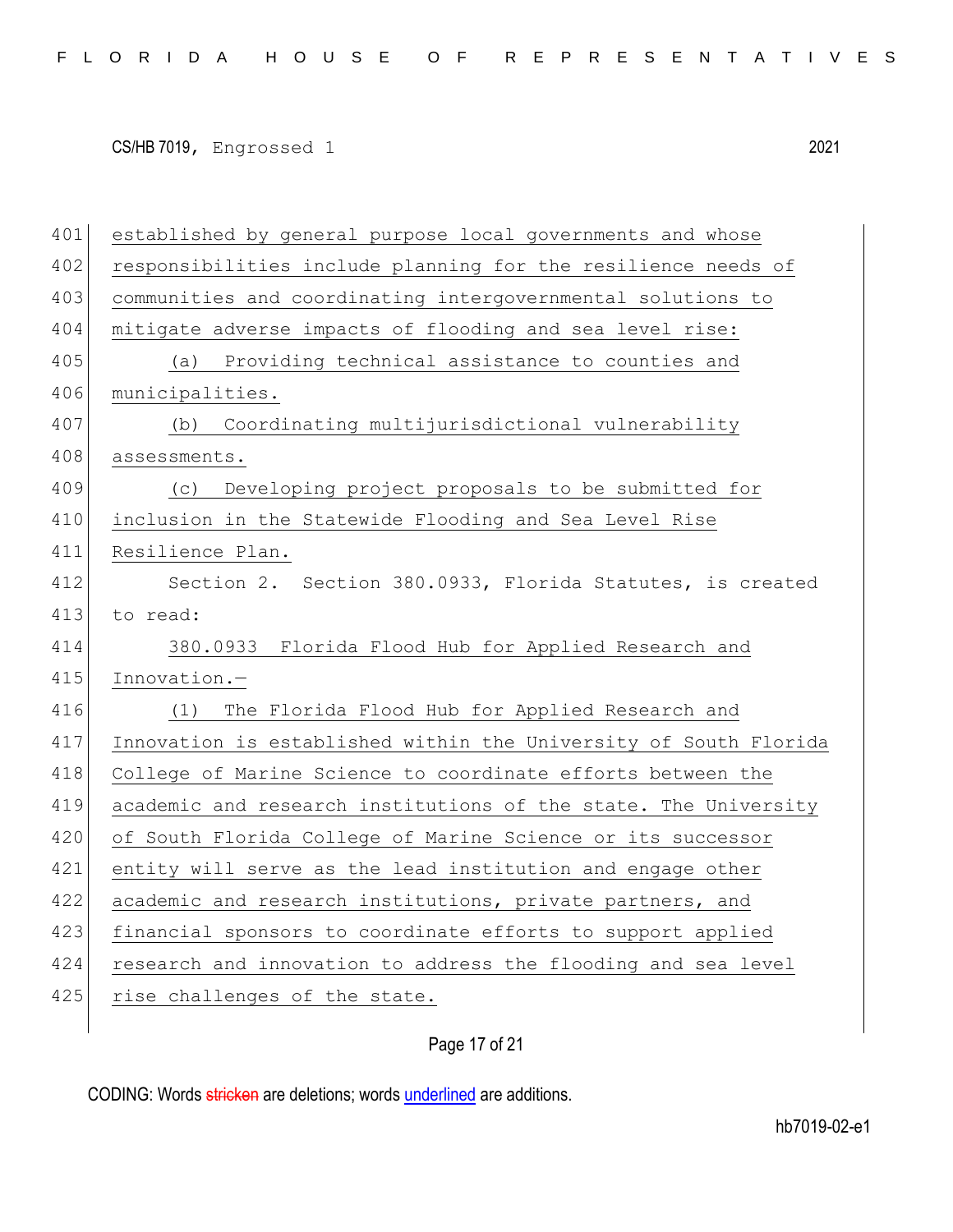| 401 | established by general purpose local governments and whose       |
|-----|------------------------------------------------------------------|
| 402 | responsibilities include planning for the resilience needs of    |
| 403 | communities and coordinating intergovernmental solutions to      |
| 404 | mitigate adverse impacts of flooding and sea level rise:         |
| 405 | Providing technical assistance to counties and<br>(a)            |
| 406 | municipalities.                                                  |
| 407 | Coordinating multijurisdictional vulnerability<br>(b)            |
| 408 | assessments.                                                     |
| 409 | Developing project proposals to be submitted for<br>(C)          |
| 410 | inclusion in the Statewide Flooding and Sea Level Rise           |
| 411 | Resilience Plan.                                                 |
| 412 | Section 2. Section 380.0933, Florida Statutes, is created        |
| 413 | to read:                                                         |
| 414 | 380.0933 Florida Flood Hub for Applied Research and              |
| 415 | Innovation.-                                                     |
| 416 | The Florida Flood Hub for Applied Research and<br>(1)            |
| 417 | Innovation is established within the University of South Florida |
| 418 | College of Marine Science to coordinate efforts between the      |
| 419 | academic and research institutions of the state. The University  |
| 420 | of South Florida College of Marine Science or its successor      |
| 421 | entity will serve as the lead institution and engage other       |
| 422 | academic and research institutions, private partners, and        |
| 423 | financial sponsors to coordinate efforts to support applied      |
| 424 | research and innovation to address the flooding and sea level    |
| 425 | rise challenges of the state.                                    |
|     |                                                                  |

Page 17 of 21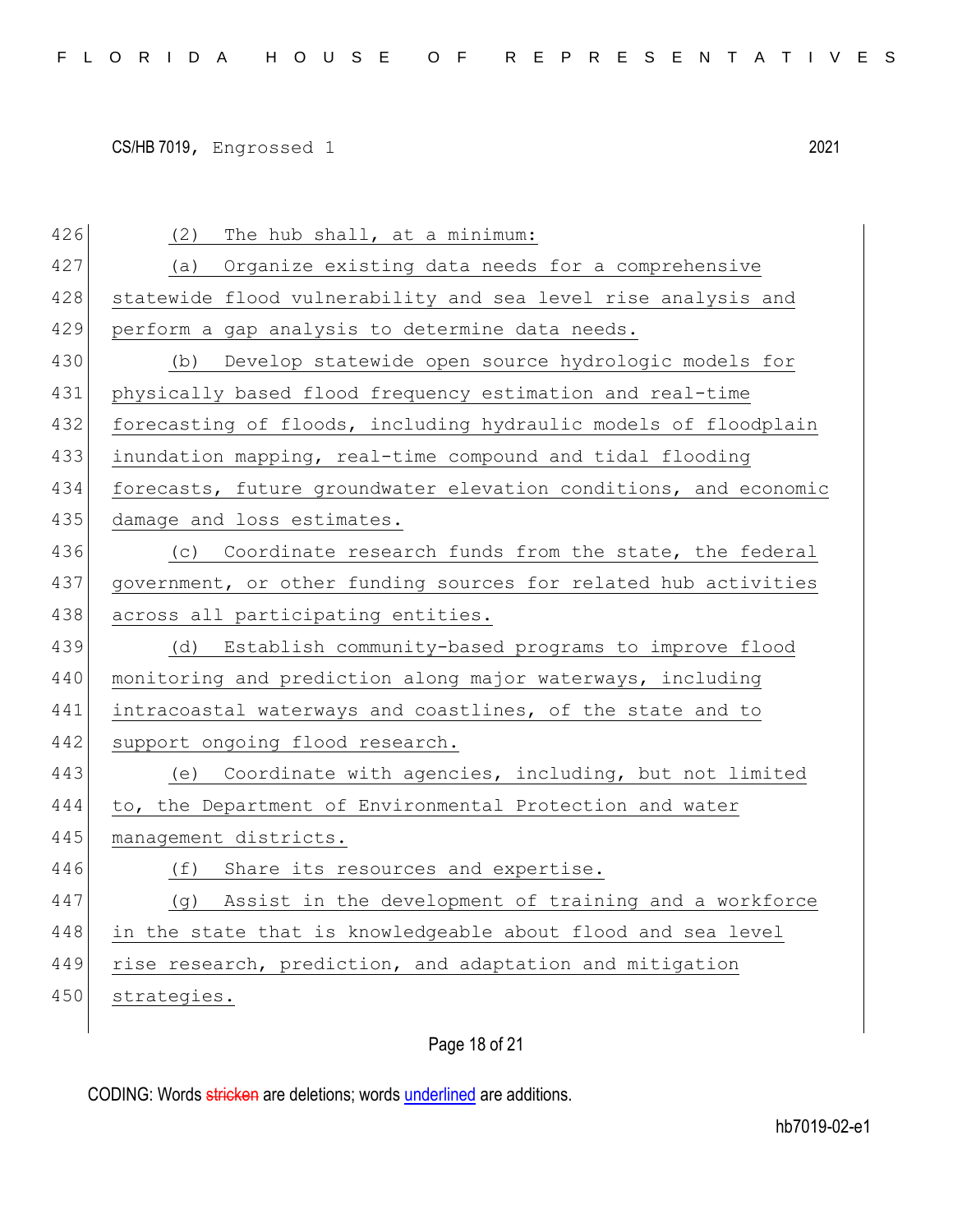| 426 | The hub shall, at a minimum:<br>(2)                              |
|-----|------------------------------------------------------------------|
| 427 | Organize existing data needs for a comprehensive<br>(a)          |
| 428 | statewide flood vulnerability and sea level rise analysis and    |
| 429 | perform a gap analysis to determine data needs.                  |
| 430 | Develop statewide open source hydrologic models for<br>(b)       |
| 431 | physically based flood frequency estimation and real-time        |
| 432 | forecasting of floods, including hydraulic models of floodplain  |
| 433 | inundation mapping, real-time compound and tidal flooding        |
| 434 | forecasts, future groundwater elevation conditions, and economic |
| 435 | damage and loss estimates.                                       |
| 436 | (c) Coordinate research funds from the state, the federal        |
| 437 | government, or other funding sources for related hub activities  |
| 438 | across all participating entities.                               |
| 439 | (d) Establish community-based programs to improve flood          |
| 440 | monitoring and prediction along major waterways, including       |
| 441 | intracoastal waterways and coastlines, of the state and to       |
|     |                                                                  |
| 442 | support ongoing flood research.                                  |
| 443 | (e) Coordinate with agencies, including, but not limited         |
| 444 | to, the Department of Environmental Protection and water         |
| 445 | management districts.                                            |
| 446 | (f) Share its resources and expertise.                           |
| 447 | (g) Assist in the development of training and a workforce        |
| 448 | in the state that is knowledgeable about flood and sea level     |
| 449 | rise research, prediction, and adaptation and mitigation         |
| 450 | strategies.                                                      |

## Page 18 of 21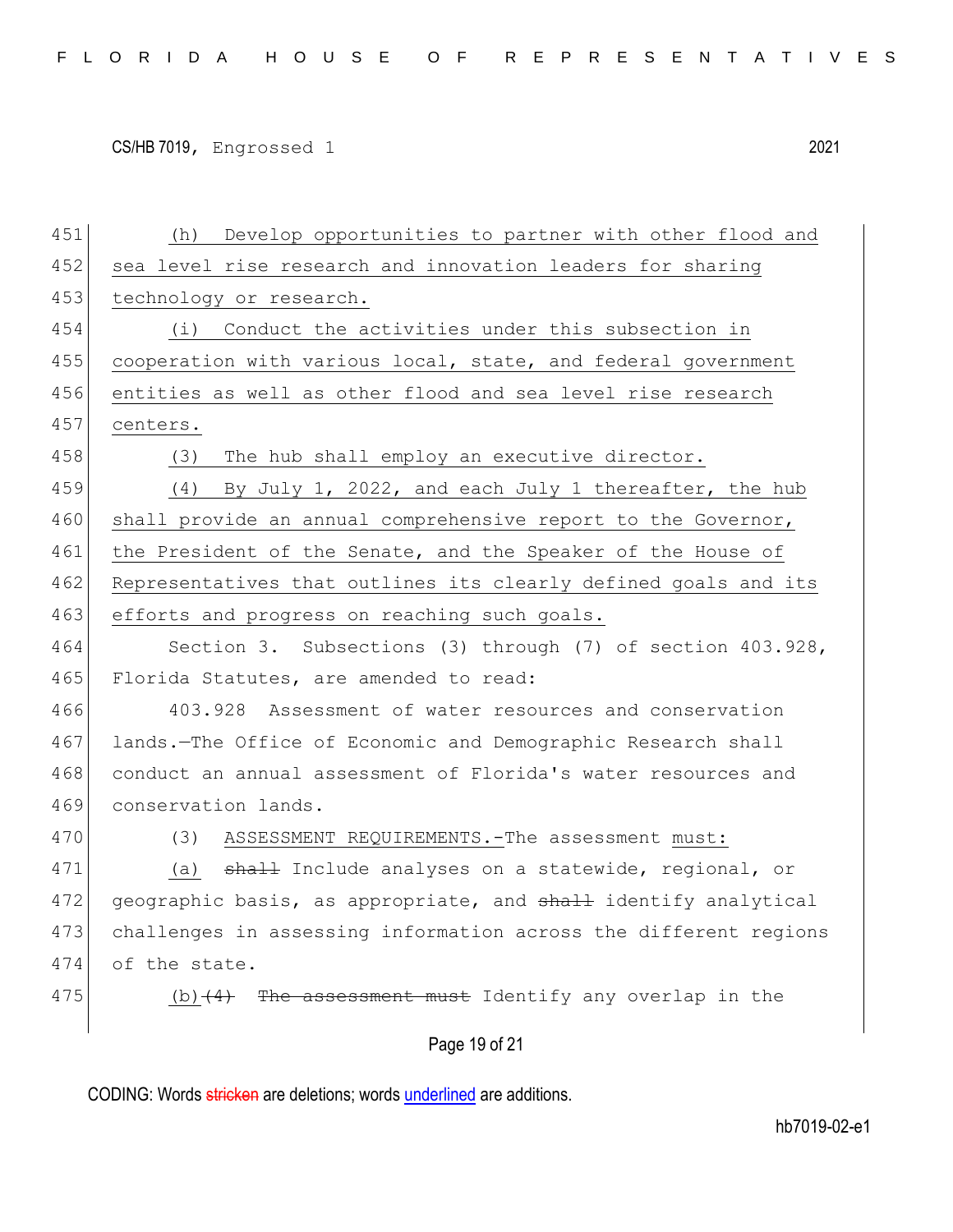| 451 | Develop opportunities to partner with other flood and<br>(h)       |
|-----|--------------------------------------------------------------------|
| 452 | sea level rise research and innovation leaders for sharing         |
| 453 | technology or research.                                            |
| 454 | (i) Conduct the activities under this subsection in                |
| 455 | cooperation with various local, state, and federal government      |
| 456 | entities as well as other flood and sea level rise research        |
| 457 | centers.                                                           |
| 458 | The hub shall employ an executive director.<br>(3)                 |
| 459 | (4) By July 1, 2022, and each July 1 thereafter, the hub           |
| 460 | shall provide an annual comprehensive report to the Governor,      |
| 461 | the President of the Senate, and the Speaker of the House of       |
| 462 | Representatives that outlines its clearly defined goals and its    |
| 463 | efforts and progress on reaching such goals.                       |
| 464 | Section 3. Subsections (3) through (7) of section 403.928,         |
| 465 | Florida Statutes, are amended to read:                             |
| 466 | 403.928 Assessment of water resources and conservation             |
| 467 | lands.-The Office of Economic and Demographic Research shall       |
| 468 | conduct an annual assessment of Florida's water resources and      |
| 469 | conservation lands.                                                |
| 470 | (3)<br>ASSESSMENT REQUIREMENTS. - The assessment must:             |
| 471 | (a) <del>shall</del> Include analyses on a statewide, regional, or |
| 472 | geographic basis, as appropriate, and shall identify analytical    |
| 473 | challenges in assessing information across the different regions   |
| 474 | of the state.                                                      |
| 475 | assessment must Identify any overlap in the                        |
|     | Page 19 of 21                                                      |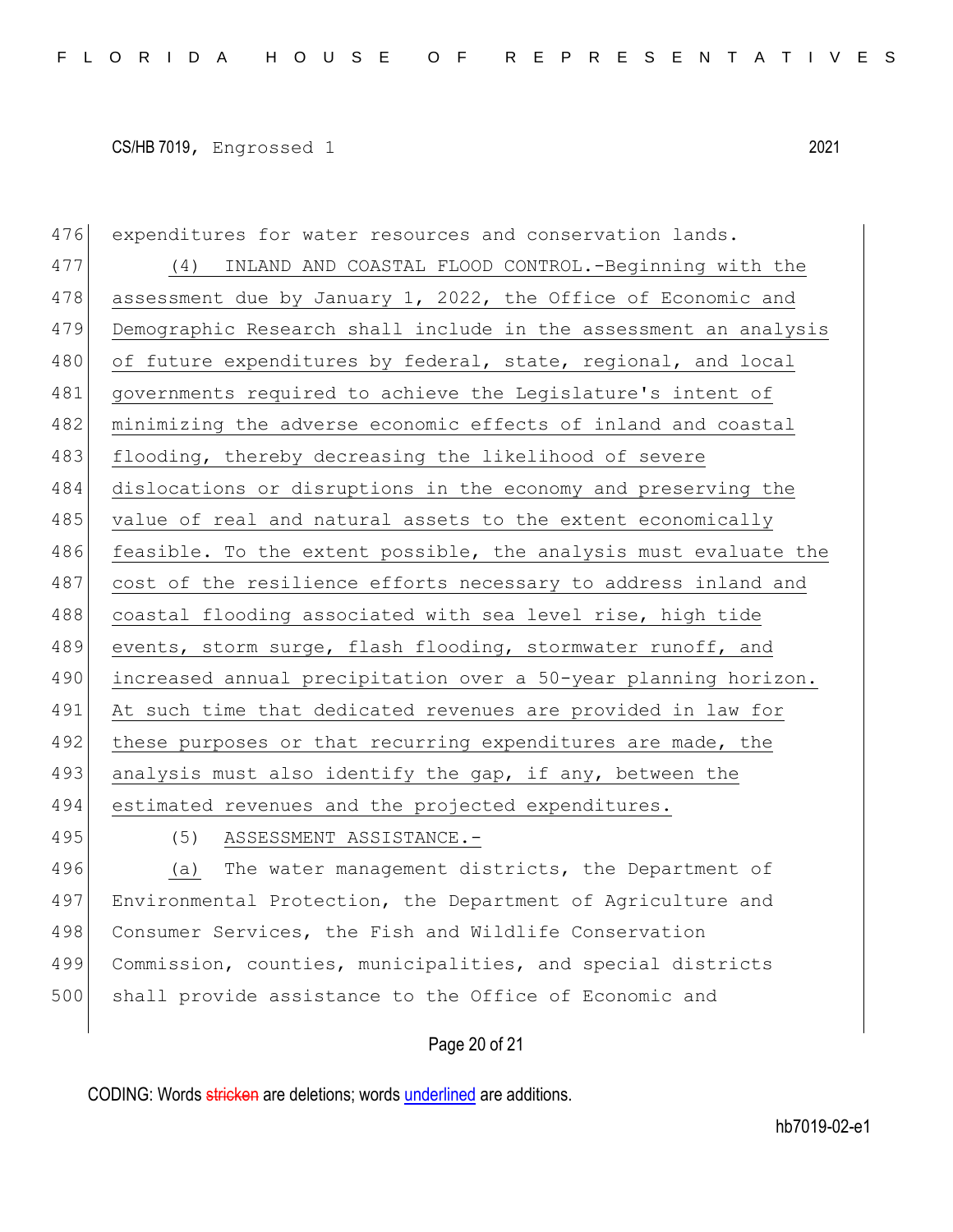476 expenditures for water resources and conservation lands. 477 (4) INLAND AND COASTAL FLOOD CONTROL.-Beginning with the 478 assessment due by January 1, 2022, the Office of Economic and 479 Demographic Research shall include in the assessment an analysis 480 of future expenditures by federal, state, regional, and local 481 governments required to achieve the Legislature's intent of 482 minimizing the adverse economic effects of inland and coastal 483 flooding, thereby decreasing the likelihood of severe 484 dislocations or disruptions in the economy and preserving the 485 value of real and natural assets to the extent economically 486 feasible. To the extent possible, the analysis must evaluate the 487 cost of the resilience efforts necessary to address inland and 488 coastal flooding associated with sea level rise, high tide 489 events, storm surge, flash flooding, stormwater runoff, and 490 increased annual precipitation over a 50-year planning horizon. 491 At such time that dedicated revenues are provided in law for 492 these purposes or that recurring expenditures are made, the 493 analysis must also identify the gap, if any, between the 494 estimated revenues and the projected expenditures. 495 (5) ASSESSMENT ASSISTANCE.-

496 (a) The water management districts, the Department of 497 Environmental Protection, the Department of Agriculture and 498 Consumer Services, the Fish and Wildlife Conservation 499 Commission, counties, municipalities, and special districts 500 shall provide assistance to the Office of Economic and

Page 20 of 21